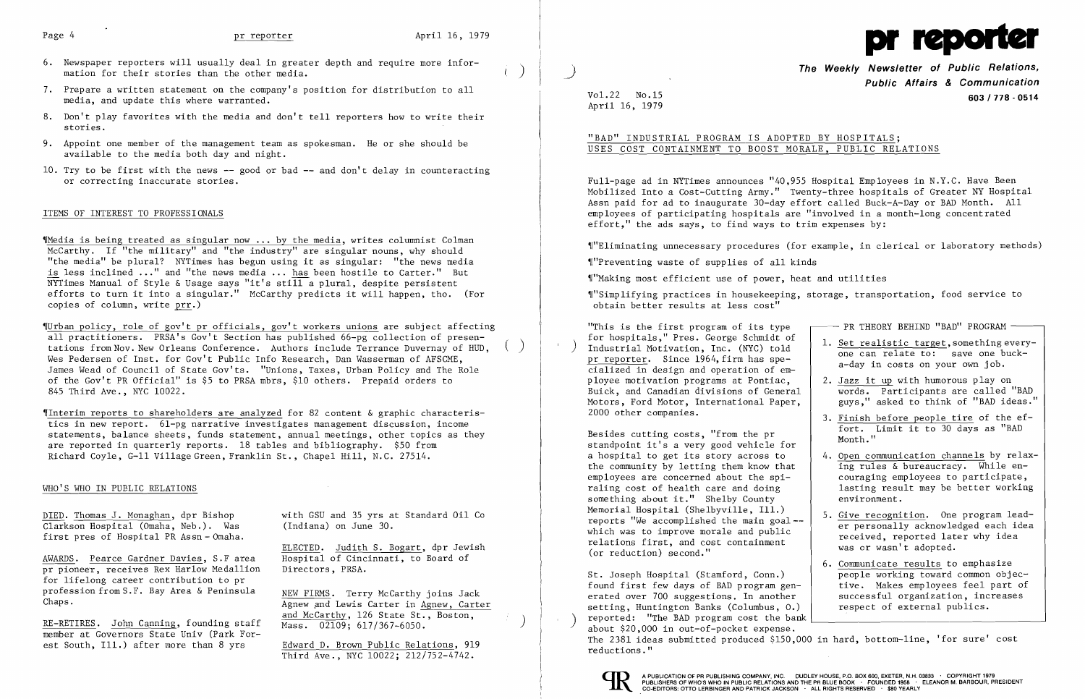

'IMedia is being treated as singular now ... by the media, writes columnist Colman McCarthy. If "the military" and "the industry" are singular nouns, why should "the media" be plural? NYTimes has begun using it as singular: "the news media is less inclined ... " and "the news media ... has been hostile to Carter." But  $\overline{\text{NTtimes}}$  Manual of Style & Usage says "it's still a plural, despite persistent efforts to turn it into a singular." McCarthy predicts it will happen, tho. (For  $\cosh s$  of  $\co1mm$ , write  $\text{pr.})$ 

- 6. Newspaper reporters will usually deal in greater depth and require more information for their stories than the other media.
- 7. Prepare a written statement on the company's position for distribution to all media, and update this where warranted.
- 8. Don't play favorites with the media and don't tell reporters how to write their stories.
- 9. Appoint one member of the management team as spokesman. He or she should be available to the media both day and night.
- 10. Try to be first with the news  $-$  good or bad  $-$  and don't delay in counteracting or correcting inaccurate stories.

## ITEMS OF INTEREST TO PROFESSIONALS

DIED. Thomas J. Monaghan, dpr Bishop with GSU and 35 yrs at Standard Oil Co<br>Clarkson Hospital (Omaha, Neb.). Was (Indiana) on June 30.  $\overline{\text{Clarkson Hospital (Omaha, Neb.)}}$ . Was first pres of Hospital PR Assn - Omaha.

AWARDS. Pearce Gardner Davies, S.F area pr pioneer, receives Rex Harlow Medallion Directors, PRSA. for lifelong career contribution to pr<br>profession from S.F. Bay Area & Peninsula profession from S.F. Bay Area & Peninsula NEW FIRMS. Terry McCarthy joins Jack<br>Chaps. Carter in Agnew and Lewis Carter in Agnew Carte

RE-RETIRES. John Canning, founding staff member at Governors State Univ (Park Forest South, Ill.) after more than 8 yrs Edward D. Brown Public Relations, 919

ELECTED. Judith S. Bogart, dpr Jewish<br>Hospital of Cincinnati, to Board of

'IUrban policy, role of gov't pr officials, gov't workers unions are subject affecting all practitioners. PRSA's Gov't Section has published 66-pg collection of presentations from Nov. New Orleans Conference. Authors include Terrance Duvernay of HUD, Wes Pedersen of Inst. for Gov't Public Info Research, Dan Wasserman of AFSCME, James Wead of Council of State Gov'ts. "Unions, Taxes, Urban Policy and The Role of the Gov't PR Official" is \$5 to PRSA mbrs, \$10 others. Prepaid orders to 845 Third Ave., NYC 10022.

> Agnew and Lewis Carter in Agnew, Carter and McCarthy, 126 State St., Boston,<br>Mass.  $02109: 617/367-6050$ .

**The Weekly Newsletter of Public Relations, Public Affairs & Communication**  Vo1.22 No.15 **603/178 - 0514** 

- PR THEORY BEHIND "BAD" PROGRAM

'[Interim reports to shareholders are analyzed for 82 content & graphic characteristics in new report. 6l-pg narrative investigates management discussion, income statements, balance sheets, funds statement, annual meetings, other topics as they are reported in quarterly reports. 18 tables and bibliography. \$50 from Richard Coyle, G-ll Village Green, Franklin St., Chapel Hill, N.C. 27514.

for hospitals," Pres. George Schmidt of "This is the first program of its type 1. Set realistic target, something every-<br>1. Set realistic target, something every-<br>1. Set realistic target, something every-<br>1. Set realistic target, something every-<br>1. Set realistic target, something every- $\begin{array}{c|c|c|c|c} \hline \text{calized in } & \text{design and operation of } & \text{em--} \\ \hline \text{plovee motivation programs at Pontiac.} & 2. Jazz it up with humorous play on \\ \end{array}$ ployee motivation programs at Pontiac,<br>Buick, and Canadian divisions of General Motors, Ford Motor, International Paper, 2000 other companies.

Besides cutting costs, "from the pr<br>standpoint it's a very good vehicle for<br>a hospital to get its story across to<br>4. Open communication channels by rela the community by letting them know that  $\left\{\n\begin{array}{c}\n\text{ing rules $\&$bureaucracy.}\n\end{array}\n\right.$  While en-employees are concerned about the spi-<br>couraging employees to participate, employees are concerned about the spi-<br>raling cost of health care and doing something about it." Shelby County Memorial Hospital (Shelbyville, Ill.)<br>reports "We accomplished the main goal-which was to improve morale and public<br>relations first, and cost containment<br>(or reduction) second."

### WHO'S WHO IN PUBLIC RELATIONS

- one can relate to: save one buck-<br>a-day in costs on your own job.
- words. Participants are called "BAD<br>guys." asked to think of "BAD ideas."
- 3. Finish before people tire of the ef-
- 4. Open communication channels by relax-<br>ing rules & bureaucracy. While enlasting result may be better working environment.
- 5. Give recognition. One program lead-<br>er personally acknowledged each idea was or wasn't adopted.
- 6. Communicate results to emphasize

Third Ave., NYC 10022; 212/752-4742.

St. Joseph Hospital (Stamford, Conn.) <br>
found first few days of BAD program gen-<br>
tive. Makes employees feel part of found first few days of BAD program gen-<br>
erated over 700 suggestions. In another<br>  $\begin{array}{ccc} \text{fixed} & \text{triangle} & \text{triangle} \\ \text{triangle} & \text{triangle} & \text{triangle} \\ \end{array}$ erated over 700 suggestions. In another  $\vert$  successful organization, increating, Huntington Banks (Columbus, 0.) respect of external publics. setting, Huntington Banks (Columbus, 0.) reported: "The BAD program cost the bank ) reported: "The BAD program cost the bank |<br>about \$20,000 in out-of-pocket expense. The 2381 ideas submitted produced \$150,000 in hard, bottom-line, 'for sure' cost reductions."



)

 $( \ )$ 

)

 $\sim 10^{-11}$ 

April 16, 1979

"BAD" INDUSTRIAL PROGRAM IS ADOPTED BY HOSPITALS; USES COST CONTAINMENT TO BOOST MORALE, PUBLIC RELATIONS

Full-page ad in NYTimes announces "40,955 Hospital Employees in N.Y.C. Have Been Mobilized Into a Cost-Cutting Army." Twenty-three hospitals of Greater NY Hospital Assn paid for ad to inaugurate 30-day effort called Buck-A-Day or BAD Month. All employees of participating hospitals are "involved in a month-long concentrated effort," the ads says, to find ways to trim expenses by:

'l"Eliminating unnecessary procedures (for example, in clerical or laboratory methods)

'I"Preventing waste of supplies of all kinds

'I"Making most efficient use of power, heat and utilities

'I"Simp1ifying practices in housekeeping, storage, transportation, food service to obtain better results at less cost"

I

I